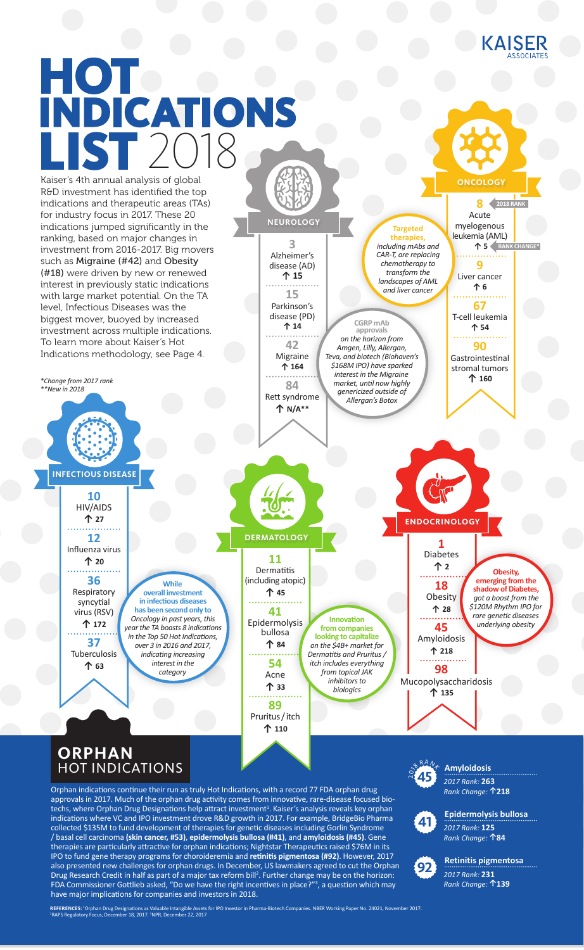

**8** Acute myelogenous leukemia (AML)

**ONCOLOGY**

**9** Liver cancer **↑ 6**

**67** T-cell leukemia **↑ 54 90** Gastrointestinal stromal tumors **↑ 160**

**↑ 5 RANK CHANGE\***

**Obesity, emerging from the shadow of Diabetes,** *got a boost from the \$120M Rhythm IPO for rare genetic diseases underlying obesity*

**2018 RA** 

# **HOT INDICATIONS LIST** 2018

Kaiser's 4th annual analysis of global R&D investment has identified the top indications and therapeutic areas (TAs) for industry focus in 2017. These 20 indications jumped significantly in the ranking, based on major changes in investment from 2016-2017. Big movers such as Migraine (#42) and Obesity (#18) were driven by new or renewed interest in previously static indications with large market potential. On the TA level, Infectious Diseases was the biggest mover, buoyed by increased investment across multiple indications. To learn more about Kaiser's Hot Indications methodology, see Page 4.

*\*Change from 2017 rank \*\*New in 2018*

**INFECTIOUS DISEASE**

**10** HIV/AIDS **↑ 27 12** Influenza virus **↑ 20 36** Respiratory syncytial virus (RSV)

**↑ 172 37** Tuberculosis **↑ 63** *Oncology in past years, this year the TA boasts 8 indications in the Top 50 Hot Indications,* 

**While overall investment in infectious disea has been second only to** 

*over 3 in 2016 and 2017, indicating increasing interest in the category*

**DERMATOLOGY**

**3** Alzheimer's disease (AD) **↑ 15**

**NEUROLOGY**

**15** Parkinson's disease (PD) **↑ 14**

> **42** Migraine **↑ 164**

**CGRP mAb approvals**  *on the horizon from Amgen, Lilly, Allergan, Teva, and biotech (Biohaven's \$168M IPO) have sparked interest in the Migraine market, until now highly genericized outside of Allergan's Botox*

**Targeted therapies,**  *including mAbs and CAR-T, are replacing chemotherapy to transform the landscapes of AML and liver cancer*

**84** Rett syndrome **↑ N/A\*\***

**11 Dermatitis** (including atopic) **↑ 45**

> **Innovation from companies looking to capitalize** *on the \$4B+ market for Dermatitis and Pruritus / itch includes everything from topical JAK inhibitors to biologics*

**41** Epidermolysis bullosa **↑ 84 54** Acne **↑ 33**

> **89** Pruritus / itch **↑ 110**

### **ORPHAN** HOT INDICATIONS

Orphan indications continue their run as truly Hot Indications, with a record 77 FDA orphan drug approvals in 2017. Much of the orphan drug activity comes from innovative, rare-disease focused biotechs, where Orphan Drug Designations help attract investment<sup>1</sup>. Kaiser's analysis reveals key orphan indications where VC and IPO investment drove R&D growth in 2017. For example, BridgeBio Pharma collected \$135M to fund development of therapies for genetic diseases including Gorlin Syndrome / basal cell carcinoma **(skin cancer, #53)**, **epidermolysis bullosa (#41)**, and **amyloidosis (#45)**. Gene therapies are particularly attractive for orphan indications; Nightstar Therapeutics raised \$76M in its IPO to fund gene therapy programs for choroideremia and **retinitis pigmentosa (#92)**. However, 2017 also presented new challenges for orphan drugs. In December, US lawmakers agreed to cut the Orphan Drug Research Credit in half as part of a major tax reform bill<sup>2</sup>. Further change may be on the horizon: FDA Commissioner Gottlieb asked, "Do we have the right incentives in place?"<sup>3</sup>, a question which may have major implications for companies and investors in 2018.

 $274$ **45**

Mucopolysaccharidosis

**98**

**↑ 135**

**45** Amyloidosis **↑ 218**

**ENDOCRINOLOGY**

**1** Diabetes **↑ 2 18** Obesity **↑ 28**

> *2017 Rank:* **263**  *Rank Change:* **↑218 Amyloidosis**



*2017 Rank:* **125**  *Rank Change:* **↑84 Epidermolysis bullosa**



*2017 Rank:* **231**  *Rank Change:* **↑139 Retinitis pigmentosa 92**

**REFERENCES: ˈ**Orphan Drug Designations as Valuable Intangible Assets for IPO Investor in Pharma-Biotech Companies. NBER Working Paper No. 24021, November 2017.<br><sup>2</sup>RAPS Regulatory Focus, December 18, 2017. <sup>3</sup>NPR, December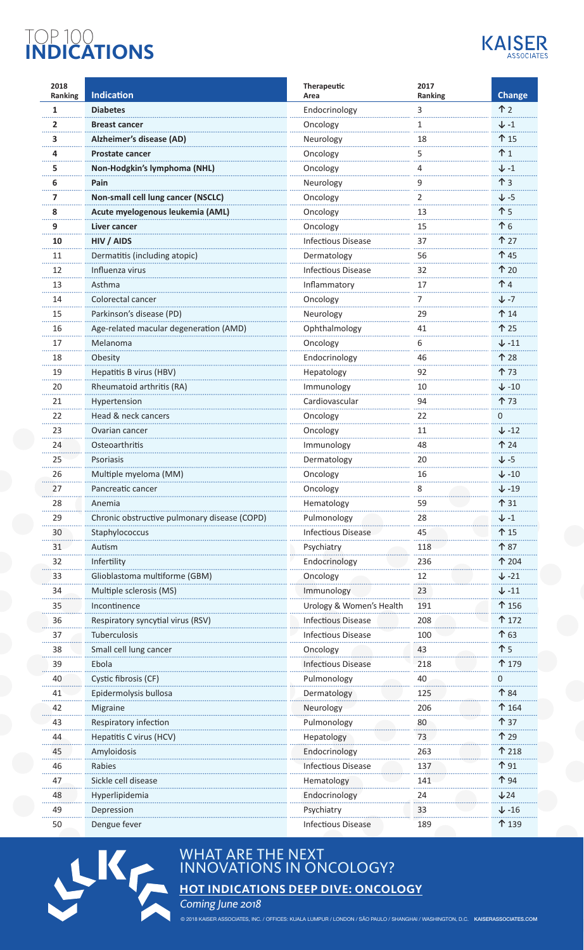# TOP 100 **INDICATIONS**



| 2018<br>Ranking | <b>Indication</b>                            | Therapeutic<br>Area       | 2017<br>Ranking | <b>Change</b>     |
|-----------------|----------------------------------------------|---------------------------|-----------------|-------------------|
| $\mathbf{1}$    | <b>Diabetes</b>                              | Endocrinology             | 3               | $\uparrow$ 2      |
| $\mathbf{2}$    | <b>Breast cancer</b>                         | Oncology                  | 1               | ↓ -1              |
| 3               | Alzheimer's disease (AD)                     | Neurology                 | 18              | 个 15              |
| 4               | <b>Prostate cancer</b>                       | Oncology                  | 5               | .<br>$\uparrow$ 1 |
| 5               | Non-Hodgkin's lymphoma (NHL)                 | Oncology                  | 4               | $\downarrow$ -1   |
| 6               | Pain                                         | Neurology                 | 9               | $\uparrow$ 3      |
| $\overline{ }$  | Non-small cell lung cancer (NSCLC)           | Oncology                  | 2               | ↓ -5              |
| 8               | Acute myelogenous leukemia (AML)             | Oncology                  | 13              | 个 5               |
| 9               | Liver cancer                                 | Oncology                  | 15              | 个 6               |
| 10              | HIV / AIDS                                   | <b>Infectious Disease</b> | 37              | 个 27              |
| 11              | Dermatitis (including atopic)                | Dermatology               | 56              | <b>个45</b>        |
| <b>.</b><br>12  | Influenza virus                              | <b>Infectious Disease</b> | 32              | 个 20              |
| 13              | Asthma                                       | Inflammatory              | 17              | ተ 4               |
| 14              | Colorectal cancer                            | Oncology                  | 7               | ↓ -7              |
| .<br>15         | Parkinson's disease (PD)                     | Neurology                 | 29              | 个 14              |
| 16              | Age-related macular degeneration (AMD)       | Ophthalmology             | 41              | 个 25              |
| 17              | Melanoma                                     | Oncology                  | 6               | $\downarrow$ -11  |
| .<br>18         | Obesity                                      | Endocrinology             | 46              | ፐ 28              |
| 19              | Hepatitis B virus (HBV)                      | Hepatology                | 92              | ተ 73              |
| .<br>20         | Rheumatoid arthritis (RA)                    | Immunology                | 10              | $\downarrow$ -10  |
| 21              | Hypertension                                 | Cardiovascular            | 94              | ተ 73              |
| 22              | Head & neck cancers                          |                           | 22              | 0                 |
| .<br>23         | Ovarian cancer                               | Oncology<br>Oncology      | .<br>11         | $\downarrow$ -12  |
| 24              | Osteoarthritis                               |                           | 48              | ተ 24              |
| 25              | Psoriasis                                    | Immunology                | 20              | $\downarrow$ -5   |
|                 |                                              | Dermatology               |                 |                   |
| 26              | Multiple myeloma (MM)                        | Oncology                  | 16              | $\downarrow$ -10  |
| 27              | Pancreatic cancer                            | Oncology                  |                 | $\downarrow$ -19  |
| 28              | Anemia                                       | Hematology                | 59              | 个 31              |
| 29              | Chronic obstructive pulmonary disease (COPD) | Pulmonology               | 28              | $\downarrow$ -1   |
| 30              | Staphylococcus                               | <b>Infectious Disease</b> | 45              | <b>1</b> 15       |
| 31              | Autism                                       | Psychiatry                | 118             | 个 87              |
| 32              | Infertility                                  | Endocrinology             | 236             | 个 204             |
| 33              | Glioblastoma multiforme (GBM)                | Oncology                  | 12              | $\downarrow$ -21  |
| 34              | Multiple sclerosis (MS)                      | Immunology                | 23              | $\downarrow$ -11  |
| 35              | Incontinence                                 | Urology & Women's Health  | 191             | $\uparrow$ 156    |
| 36              | Respiratory syncytial virus (RSV)            | <b>Infectious Disease</b> | 208             | ተ 172             |
| 37              | Tuberculosis                                 | <b>Infectious Disease</b> | 100             | ተ 63              |
| 38              | Small cell lung cancer                       | Oncology                  | 43              | ጉ 5               |
| 39              | Ebola                                        | <b>Infectious Disease</b> | 218             | 个 179             |
| 40              | Cystic fibrosis (CF)                         | Pulmonology               | 40              | 0                 |
| 41              | Epidermolysis bullosa                        | Dermatology               | 125             | ተ 84              |
| 42              | Migraine                                     | Neurology                 | 206             | ተ 164             |
| 43              | Respiratory infection                        | Pulmonology               | 80              | ተ 37              |
| 44              | Hepatitis C virus (HCV)                      | Hepatology                | 73              | 个 29              |
| 45              | Amyloidosis                                  | Endocrinology             | 263             | 个 218             |
| 46              | Rabies                                       | <b>Infectious Disease</b> | 137             | <b>1</b> 91       |
| 47              | Sickle cell disease                          | Hematology                | 141             | 个 94              |
| 48              | Hyperlipidemia                               | Endocrinology             | 24              | $\sqrt{24}$       |
| 49              | Depression                                   | Psychiatry                | 33              | $\downarrow$ -16  |
| 50              | Dengue fever                                 | <b>Infectious Disease</b> | 189             | 个 139             |



## WHAT ARE THE NEXT INNOVATIONS IN ONCOLOGY?

**HOT INDICATIONS DEEP DIVE: ONCOLOGY**

Coming June 2018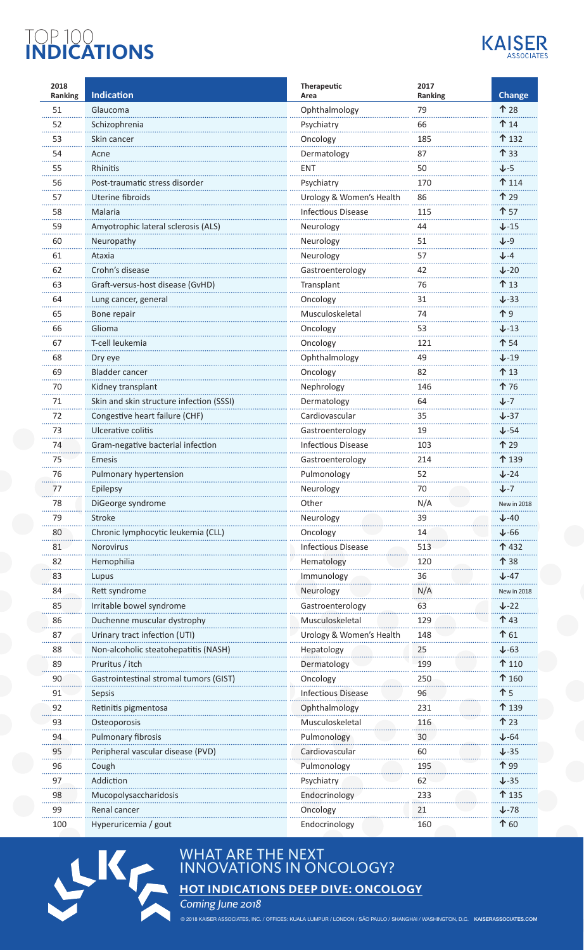# TOP 100 **INDICATIONS**



| 2018<br>Ranking | <b>Indication</b>                        | <b>Therapeutic</b><br>Area | 2017<br>Ranking | <b>Change</b>        |
|-----------------|------------------------------------------|----------------------------|-----------------|----------------------|
| 51              | Glaucoma                                 | Ophthalmology              | 79              | 个 28                 |
| 52              | Schizophrenia                            | Psychiatry                 | 66              | <b>14</b>            |
| 53              | Skin cancer                              | Oncology                   | 185             | ↑ 132                |
| 54              | Acne                                     | Dermatology                | 87              | 个 33                 |
| 55              | Rhinitis                                 | ENT                        | .<br>50         | $J - 5$              |
| 56              | Post-traumatic stress disorder           | Psychiatry                 | 170             | ↑ 114                |
| 57              | Uterine fibroids                         | Urology & Women's Health   | 86              | 个 29                 |
| 58              | Malaria                                  | <b>Infectious Disease</b>  | 115             | 个 57                 |
| 59              | Amyotrophic lateral sclerosis (ALS)      | Neurology                  | 44              | $\sqrt{-15}$         |
| 60              | Neuropathy                               | Neurology                  | .<br>51         | $J-9$                |
| 61              | Ataxia                                   | Neurology                  | 57              | $J-4$                |
| 62              | Crohn's disease                          | Gastroenterology           | 42              | $\downarrow$ -20     |
| 63              | Graft-versus-host disease (GvHD)         | Transplant                 | .<br>76         | <b>个 13</b>          |
| 64              | Lung cancer, general                     | Oncology                   | 31              | $J - 33$             |
| 65              | Bone repair                              | Musculoskeletal            | 74              | 个9                   |
| 66              | Glioma                                   | Oncology                   | 53              | $\downarrow$ -13     |
| 67              | T-cell leukemia                          | Oncology                   | 121             | 个 54                 |
| 68              | Dry eye                                  | Ophthalmology              | 49              | $\downarrow$ -19     |
| 69              | <b>Bladder cancer</b>                    | Oncology                   | 82              | ↑13                  |
| 70              | Kidney transplant                        | Nephrology                 | 146             | 个76                  |
| .<br>71         | Skin and skin structure infection (SSSI) | Dermatology                | 64              | $J - 7$              |
| 72              | Congestive heart failure (CHF)           | Cardiovascular             | 35              | $\downarrow$ -37     |
| 73              | Ulcerative colitis                       | Gastroenterology           | 19              | $\downarrow$ -54     |
| 74              | Gram-negative bacterial infection        | <b>Infectious Disease</b>  | 103             | 个 29                 |
| 75              | <b>Emesis</b>                            | Gastroenterology           | 214             | 个 139                |
| 76              | Pulmonary hypertension                   | Pulmonology                | 52              | $\sqrt{-24}$         |
| 77              | Epilepsy                                 | Neurology                  | 7U              | ↓-7                  |
| 78              | DiGeorge syndrome                        | Other                      | N/A             | New in 2018          |
| 79              | Stroke                                   | Neurology                  | 39              | $\downarrow$ -40     |
| 80              | Chronic lymphocytic leukemia (CLL)       | Oncology                   | 14              | $\downarrow$ -66     |
| 81              | Norovirus                                | <b>Infectious Disease</b>  | 513             | ↑432                 |
| 82              | Hemophilia                               | Hematology                 | 120             | 个 38                 |
| 83              | Lupus                                    | Immunology                 | 36              | $J - 47$             |
| 84              | Rett syndrome                            | Neurology                  | N/A             | New in 2018          |
| 85              | Irritable bowel syndrome                 | Gastroenterology           | 63              | $\downarrow$ -22     |
| 86              | Duchenne muscular dystrophy              | Musculoskeletal            | 129             | 个 43                 |
| 87              | Urinary tract infection (UTI)            | Urology & Women's Health   | 148             | $\mathbf{\hat{}}$ 61 |
| 88              | Non-alcoholic steatohepatitis (NASH)     | Hepatology                 | 25              | $\downarrow$ -63     |
| 89              | Pruritus / itch                          | Dermatology                | 199             | ↑ 110                |
| 90              | Gastrointestinal stromal tumors (GIST)   | Oncology                   | 250             | $\uparrow$ 160       |
| 91              | Sepsis                                   | <b>Infectious Disease</b>  | 96              | 个 5                  |
| 92              | Retinitis pigmentosa                     | Ophthalmology              | 231             | ↑ 139                |
| 93              | Osteoporosis                             | Musculoskeletal            | 116             | 个 23                 |
| 94              | Pulmonary fibrosis                       | Pulmonology                | 30              | $\downarrow$ -64     |
| 95              | Peripheral vascular disease (PVD)        | Cardiovascular             | 60              | $\downarrow$ -35     |
| 96              | Cough                                    | Pulmonology                | 195             | 个 99                 |
| 97              | Addiction                                | Psychiatry                 | 62              | $\downarrow$ -35     |
| 98              | Mucopolysaccharidosis                    | Endocrinology              | 233             | 个 135                |
| 99              | Renal cancer                             | Oncology                   | 21              | $\sqrt{-78}$         |
| 100             | Hyperuricemia / gout                     | Endocrinology              | 160             | 个 60                 |
|                 |                                          |                            |                 |                      |



## WHAT ARE THE NEXT INNOVATIONS IN ONCOLOGY?

**HOT INDICATIONS DEEP DIVE: ONCOLOGY**

Coming June 2018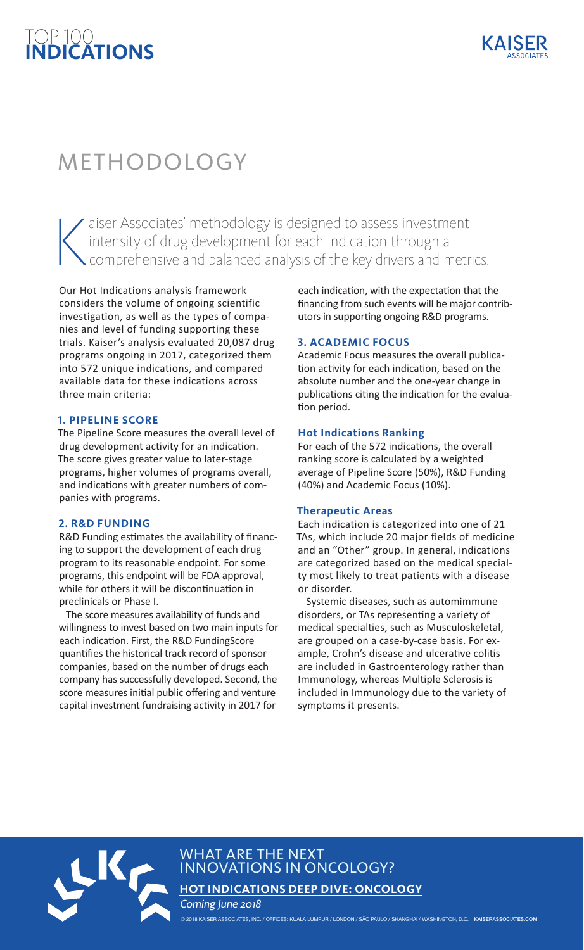# TOP 100 **INDICATIONS**

# METHODOLOGY

 $\left|\right|$ aiser Associates' methodology is designed to assess investment intensity of drug development for each indication through a comprehensive and balanced analysis of the key drivers and metrics.

Our Hot Indications analysis framework considers the volume of ongoing scientific investigation, as well as the types of companies and level of funding supporting these trials. Kaiser's analysis evaluated 20,087 drug programs ongoing in 2017, categorized them into 572 unique indications, and compared available data for these indications across three main criteria:

#### **1. PIPELINE SCORE**

The Pipeline Score measures the overall level of drug development activity for an indication. The score gives greater value to later-stage programs, higher volumes of programs overall, and indications with greater numbers of companies with programs.

#### **2. R&D FUNDING**

R&D Funding estimates the availability of financing to support the development of each drug program to its reasonable endpoint. For some programs, this endpoint will be FDA approval, while for others it will be discontinuation in preclinicals or Phase I.

The score measures availability of funds and willingness to invest based on two main inputs for each indication. First, the R&D FundingScore quantifies the historical track record of sponsor companies, based on the number of drugs each company has successfully developed. Second, the score measures initial public offering and venture capital investment fundraising activity in 2017 for

each indication, with the expectation that the financing from such events will be major contributors in supporting ongoing R&D programs.

#### **3. ACADEMIC FOCUS**

Academic Focus measures the overall publication activity for each indication, based on the absolute number and the one-year change in publications citing the indication for the evaluation period.

#### **Hot Indications Ranking**

For each of the 572 indications, the overall ranking score is calculated by a weighted average of Pipeline Score (50%), R&D Funding (40%) and Academic Focus (10%).

#### **Therapeutic Areas**

Each indication is categorized into one of 21 TAs, which include 20 major fields of medicine and an "Other" group. In general, indications are categorized based on the medical specialty most likely to treat patients with a disease or disorder.

Systemic diseases, such as automimmune disorders, or TAs representing a variety of medical specialties, such as Musculoskeletal, are grouped on a case-by-case basis. For example, Crohn's disease and ulcerative colitis are included in Gastroenterology rather than Immunology, whereas Multiple Sclerosis is included in Immunology due to the variety of symptoms it presents.



WHAT ARE THE NEXT INNOVATIONS IN ONCOLOGY?

**HOT INDICATIONS DEEP DIVE: ONCOLOGY**

Coming June 2018